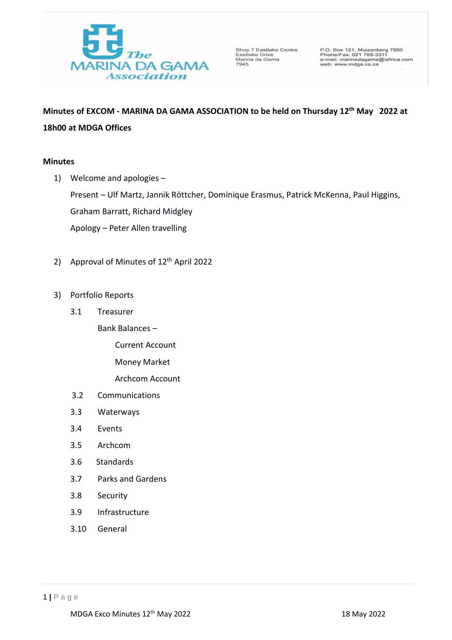

Shop 7 Eastlake Centre<br>Eastlake Drive<br>Marina da Gama<br>7945

P.O. Box 121, Muizenberg 7950<br>Phone/Fax: 021 788-3311<br>e-mail: marinadagama@iafrica.com<br>web: www.mdga.co.za

**Minutes of EXCOM - MARINA DA GAMA ASSOCIATION to be held on Thursday 12 th May 2022 at 18h00 at MDGA Offices**

## **Minutes**

1) Welcome and apologies – Present – Ulf Martz, Jannik Röttcher, Dominique Erasmus, Patrick McKenna, Paul Higgins, Graham Barratt, Richard Midgley Apology – Peter Allen travelling

- 2) Approval of Minutes of 12<sup>th</sup> April 2022
- 3) Portfolio Reports
	- 3.1 Treasurer

Bank Balances –

Current Account

Money Market

Archcom Account

- 3.2 Communications
- 3.3 Waterways
- 3.4 Events
- 3.5 Archcom
- 3.6 Standards
- 3.7 Parks and Gardens
- 3.8 Security
- 3.9 Infrastructure
- 3.10 General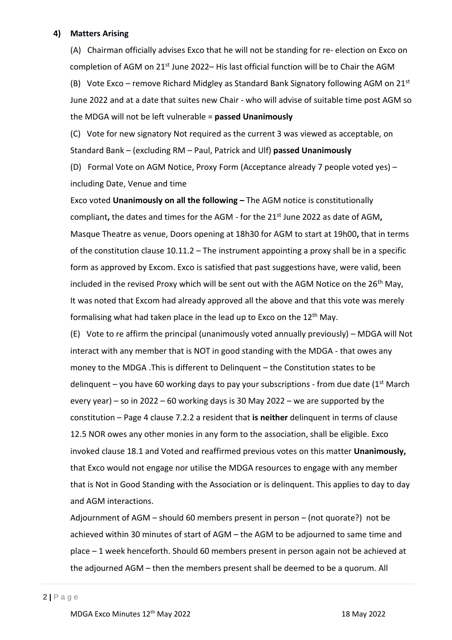# **4) Matters Arising**

(A) Chairman officially advises Exco that he will not be standing for re- election on Exco on completion of AGM on 21<sup>st</sup> June 2022– His last official function will be to Chair the AGM

(B) Vote Exco – remove Richard Midgley as Standard Bank Signatory following AGM on  $21^{st}$ June 2022 and at a date that suites new Chair - who will advise of suitable time post AGM so the MDGA will not be left vulnerable = **passed Unanimously**

(C) Vote for new signatory Not required as the current 3 was viewed as acceptable, on Standard Bank – (excluding RM – Paul, Patrick and Ulf) **passed Unanimously**

(D) Formal Vote on AGM Notice, Proxy Form (Acceptance already 7 people voted yes) – including Date, Venue and time

Exco voted **Unanimously on all the following –** The AGM notice is constitutionally compliant, the dates and times for the AGM - for the 21<sup>st</sup> June 2022 as date of AGM, Masque Theatre as venue, Doors opening at 18h30 for AGM to start at 19h00**,** that in terms of the constitution clause 10.11.2 – The instrument appointing a proxy shall be in a specific form as approved by Excom. Exco is satisfied that past suggestions have, were valid, been included in the revised Proxy which will be sent out with the AGM Notice on the  $26<sup>th</sup>$  May, It was noted that Excom had already approved all the above and that this vote was merely formalising what had taken place in the lead up to Exco on the 12th May.

(E) Vote to re affirm the principal (unanimously voted annually previously) – MDGA will Not interact with any member that is NOT in good standing with the MDGA - that owes any money to the MDGA .This is different to Delinquent – the Constitution states to be delinquent – you have 60 working days to pay your subscriptions - from due date  $(1<sup>st</sup> March)$ every year) – so in 2022 – 60 working days is 30 May 2022 – we are supported by the constitution – Page 4 clause 7.2.2 a resident that **is neither** delinquent in terms of clause 12.5 NOR owes any other monies in any form to the association, shall be eligible. Exco invoked clause 18.1 and Voted and reaffirmed previous votes on this matter **Unanimously,**  that Exco would not engage nor utilise the MDGA resources to engage with any member that is Not in Good Standing with the Association or is delinquent. This applies to day to day and AGM interactions.

Adjournment of AGM – should 60 members present in person – (not quorate?) not be achieved within 30 minutes of start of AGM – the AGM to be adjourned to same time and place – 1 week henceforth. Should 60 members present in person again not be achieved at the adjourned AGM – then the members present shall be deemed to be a quorum. All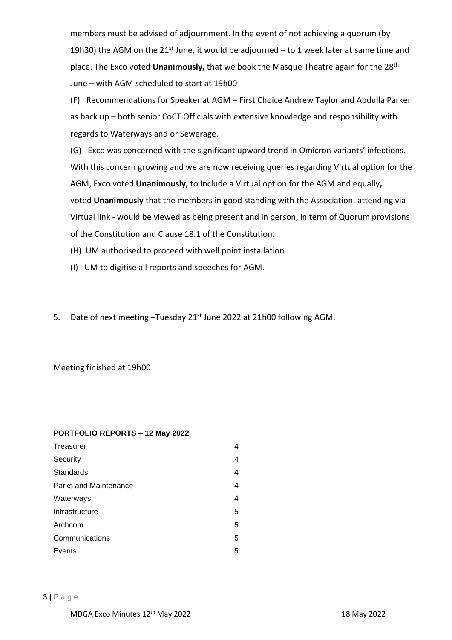members must be advised of adjournment. In the event of not achieving a quorum (by 19h30) the AGM on the 21st June, it would be adjourned  $-$  to 1 week later at same time and place. The Exco voted Unanimously, that we book the Masque Theatre again for the 28<sup>th</sup> June – with AGM scheduled to start at 19h00

(F) Recommendations for Speaker at AGM – First Choice Andrew Taylor and Abdulla Parker as back up – both senior CoCT Officials with extensive knowledge and responsibility with regards to Waterways and or Sewerage.

(G) Exco was concerned with the significant upward trend in Omicron variants' infections. With this concern growing and we are now receiving queries regarding Virtual option for the AGM, Exco voted **Unanimously,** to Include a Virtual option for the AGM and equally**,** voted **Unanimously** that the members in good standing with the Association, attending via Virtual link - would be viewed as being present and in person, in term of Quorum provisions of the Constitution and Clause 18.1 of the Constitution.

(H) UM authorised to proceed with well point installation

- (I) UM to digitise all reports and speeches for AGM.
- 5. Date of next meeting -Tuesday 21<sup>st</sup> June 2022 at 21h00 following AGM.

# Meeting finished at 19h00

### **PORTFOLIO REPORTS – 12 May 2022**

| Treasurer             | 4 |
|-----------------------|---|
| Security              | 4 |
| Standards             | 4 |
| Parks and Maintenance | 4 |
| Waterways             | 4 |
| Infrastructure        | 5 |
| Archcom               | 5 |
| Communications        | 5 |
| Events                | 5 |
|                       |   |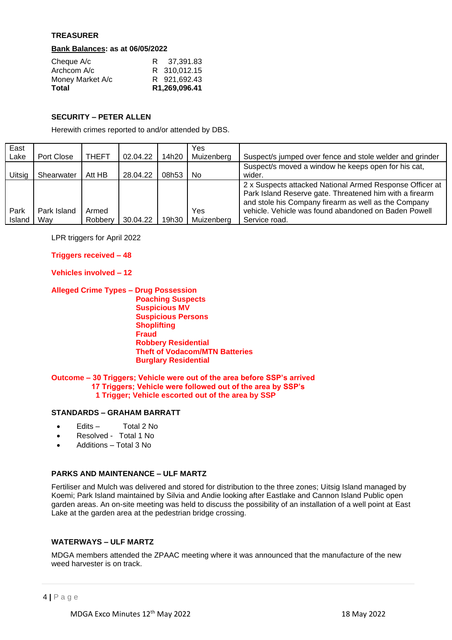## **TREASURER**

### **Bank Balances: as at 06/05/2022**

| Cheque A/c       | R 37,391.83   |
|------------------|---------------|
| Archcom A/c      | R 310,012.15  |
| Money Market A/c | R 921.692.43  |
| Total            | R1,269,096.41 |

### **SECURITY – PETER ALLEN**

Herewith crimes reported to and/or attended by DBS.

| East   |             |              |          |       | Yes        |                                                                                                                                                                             |
|--------|-------------|--------------|----------|-------|------------|-----------------------------------------------------------------------------------------------------------------------------------------------------------------------------|
| Lake   | Port Close  | <b>THEFT</b> | 02.04.22 | 14h20 | Muizenberg | Suspect/s jumped over fence and stole welder and grinder                                                                                                                    |
|        |             |              |          |       |            | Suspect/s moved a window he keeps open for his cat,                                                                                                                         |
| Uitsig | Shearwater  | Att HB       | 28.04.22 | 08h53 | No.        | wider.                                                                                                                                                                      |
|        |             |              |          |       |            | 2 x Suspects attacked National Armed Response Officer at<br>Park Island Reserve gate. Threatened him with a firearm<br>and stole his Company firearm as well as the Company |
| Park   | Park Island | Armed        |          |       | Yes        | vehicle. Vehicle was found abandoned on Baden Powell                                                                                                                        |
| Island | Wav         | Robbery      | 30.04.22 | 19h30 | Muizenberg | Service road.                                                                                                                                                               |

LPR triggers for April 2022

 **Triggers received – 48**

### **Vehicles involved – 12**

 **Alleged Crime Types – Drug Possession**

 **Poaching Suspects Suspicious MV Suspicious Persons Shoplifting Fraud Robbery Residential Theft of Vodacom/MTN Batteries Burglary Residential**

#### **Outcome – 30 Triggers; Vehicle were out of the area before SSP's arrived 17 Triggers; Vehicle were followed out of the area by SSP's 1 Trigger; Vehicle escorted out of the area by SSP**

#### **STANDARDS – GRAHAM BARRATT**

- Edits Total 2 No
- Resolved Total 1 No
- Additions Total 3 No

### **PARKS AND MAINTENANCE – ULF MARTZ**

 Fertiliser and Mulch was delivered and stored for distribution to the three zones; Uitsig Island managed by Koemi; Park Island maintained by Silvia and Andie looking after Eastlake and Cannon Island Public open garden areas. An on-site meeting was held to discuss the possibility of an installation of a well point at East Lake at the garden area at the pedestrian bridge crossing.

### **WATERWAYS – ULF MARTZ**

 MDGA members attended the ZPAAC meeting where it was announced that the manufacture of the new weed harvester is on track.